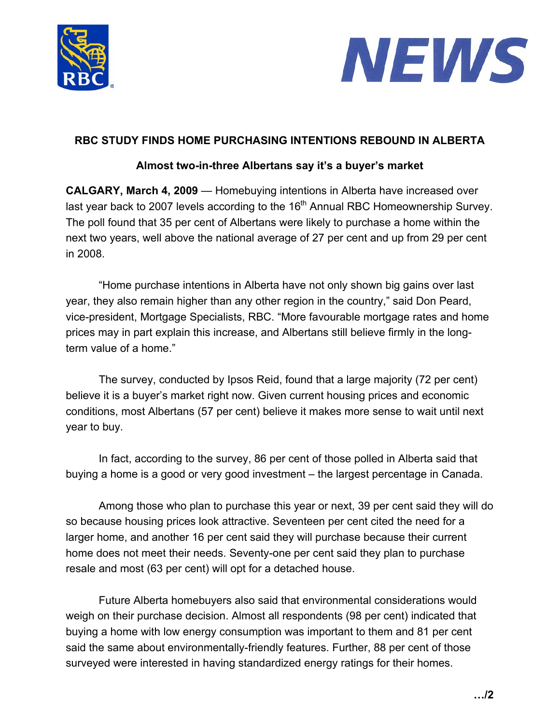



## **RBC STUDY FINDS HOME PURCHASING INTENTIONS REBOUND IN ALBERTA**

## **Almost two-in-three Albertans say it's a buyer's market**

**CALGARY, March 4, 2009** — Homebuying intentions in Alberta have increased over last year back to 2007 levels according to the  $16<sup>th</sup>$  Annual RBC Homeownership Survey. The poll found that 35 per cent of Albertans were likely to purchase a home within the next two years, well above the national average of 27 per cent and up from 29 per cent in 2008.

"Home purchase intentions in Alberta have not only shown big gains over last year, they also remain higher than any other region in the country," said Don Peard, vice-president, Mortgage Specialists, RBC. "More favourable mortgage rates and home prices may in part explain this increase, and Albertans still believe firmly in the longterm value of a home."

The survey, conducted by Ipsos Reid, found that a large majority (72 per cent) believe it is a buyer's market right now. Given current housing prices and economic conditions, most Albertans (57 per cent) believe it makes more sense to wait until next year to buy.

In fact, according to the survey, 86 per cent of those polled in Alberta said that buying a home is a good or very good investment – the largest percentage in Canada.

Among those who plan to purchase this year or next, 39 per cent said they will do so because housing prices look attractive. Seventeen per cent cited the need for a larger home, and another 16 per cent said they will purchase because their current home does not meet their needs. Seventy-one per cent said they plan to purchase resale and most (63 per cent) will opt for a detached house.

Future Alberta homebuyers also said that environmental considerations would weigh on their purchase decision. Almost all respondents (98 per cent) indicated that buying a home with low energy consumption was important to them and 81 per cent said the same about environmentally-friendly features. Further, 88 per cent of those surveyed were interested in having standardized energy ratings for their homes.